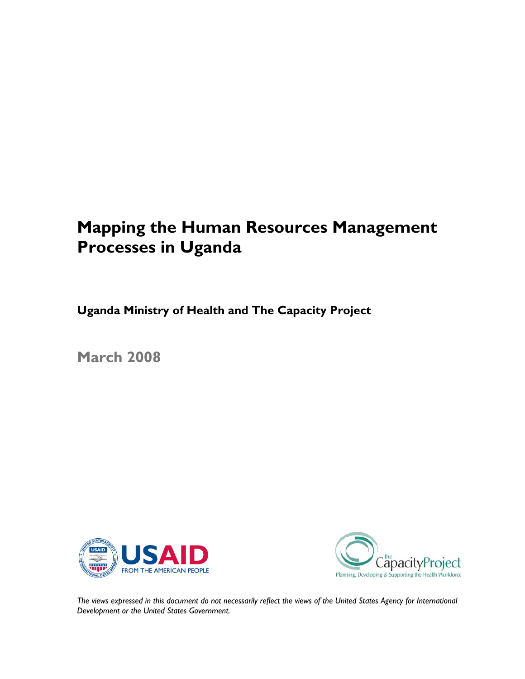# **Mapping the Human Resources Management Processes in Uganda**

**Uganda Ministry of Health and The Capacity Project**

**March 2008** 





*The views expressed in this document do not necessarily reflect the views of the United States Agency for International Development or the United States Government.*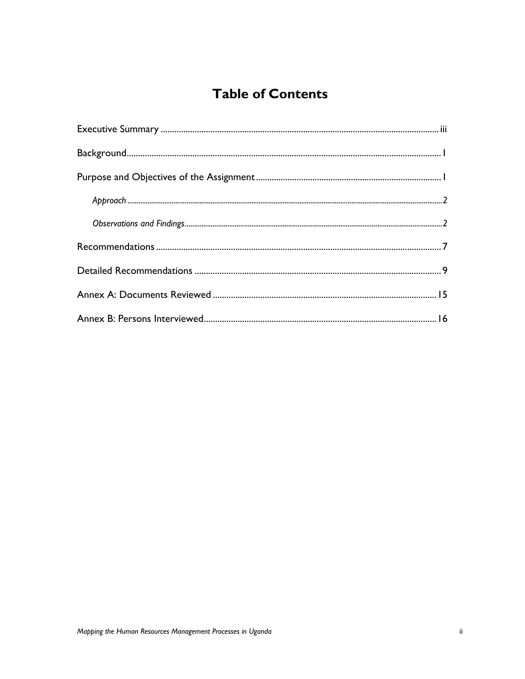## **Table of Contents**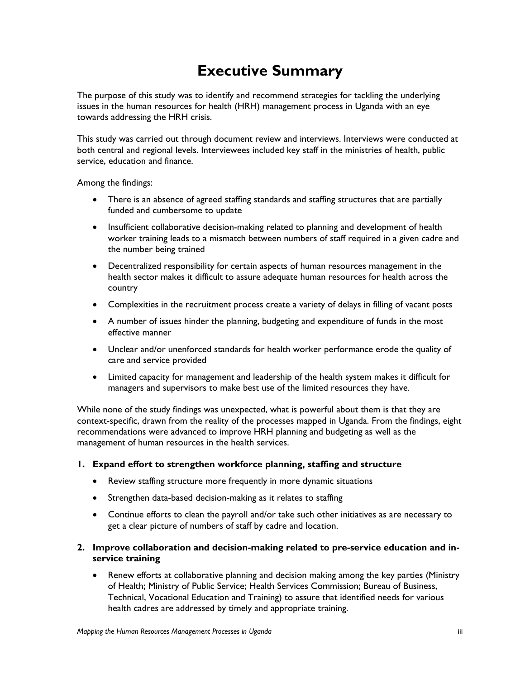# **Executive Summary**

The purpose of this study was to identify and recommend strategies for tackling the underlying issues in the human resources for health (HRH) management process in Uganda with an eye towards addressing the HRH crisis.

This study was carried out through document review and interviews. Interviews were conducted at both central and regional levels. Interviewees included key staff in the ministries of health, public service, education and finance.

Among the findings:

- There is an absence of agreed staffing standards and staffing structures that are partially funded and cumbersome to update
- Insufficient collaborative decision-making related to planning and development of health worker training leads to a mismatch between numbers of staff required in a given cadre and the number being trained
- Decentralized responsibility for certain aspects of human resources management in the health sector makes it difficult to assure adequate human resources for health across the country
- Complexities in the recruitment process create a variety of delays in filling of vacant posts
- A number of issues hinder the planning, budgeting and expenditure of funds in the most effective manner
- Unclear and/or unenforced standards for health worker performance erode the quality of care and service provided
- Limited capacity for management and leadership of the health system makes it difficult for managers and supervisors to make best use of the limited resources they have.

While none of the study findings was unexpected, what is powerful about them is that they are context-specific, drawn from the reality of the processes mapped in Uganda. From the findings, eight recommendations were advanced to improve HRH planning and budgeting as well as the management of human resources in the health services.

#### **1. Expand effort to strengthen workforce planning, staffing and structure**

- Review staffing structure more frequently in more dynamic situations
- Strengthen data-based decision-making as it relates to staffing
- Continue efforts to clean the payroll and/or take such other initiatives as are necessary to get a clear picture of numbers of staff by cadre and location.

#### **2. Improve collaboration and decision-making related to pre-service education and inservice training**

• Renew efforts at collaborative planning and decision making among the key parties (Ministry of Health; Ministry of Public Service; Health Services Commission; Bureau of Business, Technical, Vocational Education and Training) to assure that identified needs for various health cadres are addressed by timely and appropriate training.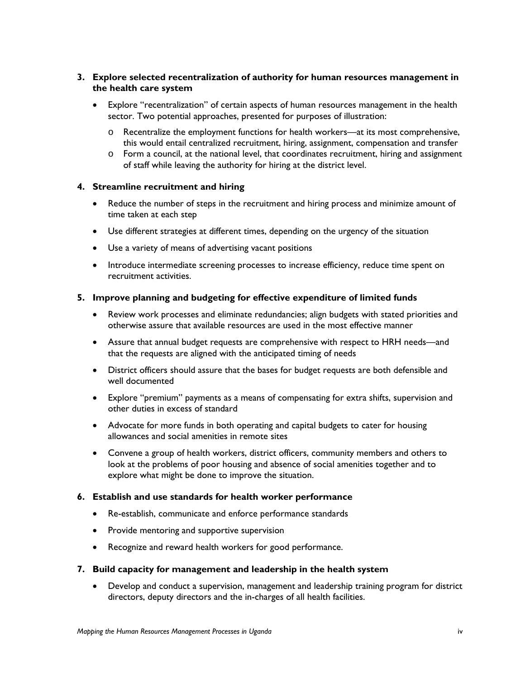#### **3. Explore selected recentralization of authority for human resources management in the health care system**

- Explore "recentralization" of certain aspects of human resources management in the health sector. Two potential approaches, presented for purposes of illustration:
	- o Recentralize the employment functions for health workers—at its most comprehensive, this would entail centralized recruitment, hiring, assignment, compensation and transfer
	- $\circ$  Form a council, at the national level, that coordinates recruitment, hiring and assignment of staff while leaving the authority for hiring at the district level.

#### **4. Streamline recruitment and hiring**

- Reduce the number of steps in the recruitment and hiring process and minimize amount of time taken at each step
- Use different strategies at different times, depending on the urgency of the situation
- Use a variety of means of advertising vacant positions
- Introduce intermediate screening processes to increase efficiency, reduce time spent on recruitment activities.

#### **5. Improve planning and budgeting for effective expenditure of limited funds**

- Review work processes and eliminate redundancies; align budgets with stated priorities and otherwise assure that available resources are used in the most effective manner
- Assure that annual budget requests are comprehensive with respect to HRH needs—and that the requests are aligned with the anticipated timing of needs
- District officers should assure that the bases for budget requests are both defensible and well documented
- Explore "premium" payments as a means of compensating for extra shifts, supervision and other duties in excess of standard
- Advocate for more funds in both operating and capital budgets to cater for housing allowances and social amenities in remote sites
- Convene a group of health workers, district officers, community members and others to look at the problems of poor housing and absence of social amenities together and to explore what might be done to improve the situation.

#### **6. Establish and use standards for health worker performance**

- Re-establish, communicate and enforce performance standards
- Provide mentoring and supportive supervision
- Recognize and reward health workers for good performance.

#### **7. Build capacity for management and leadership in the health system**

• Develop and conduct a supervision, management and leadership training program for district directors, deputy directors and the in-charges of all health facilities.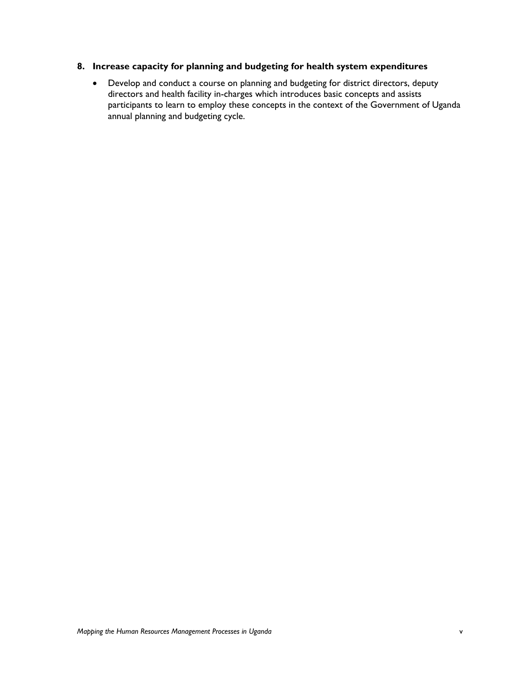#### **8. Increase capacity for planning and budgeting for health system expenditures**

• Develop and conduct a course on planning and budgeting for district directors, deputy directors and health facility in-charges which introduces basic concepts and assists participants to learn to employ these concepts in the context of the Government of Uganda annual planning and budgeting cycle.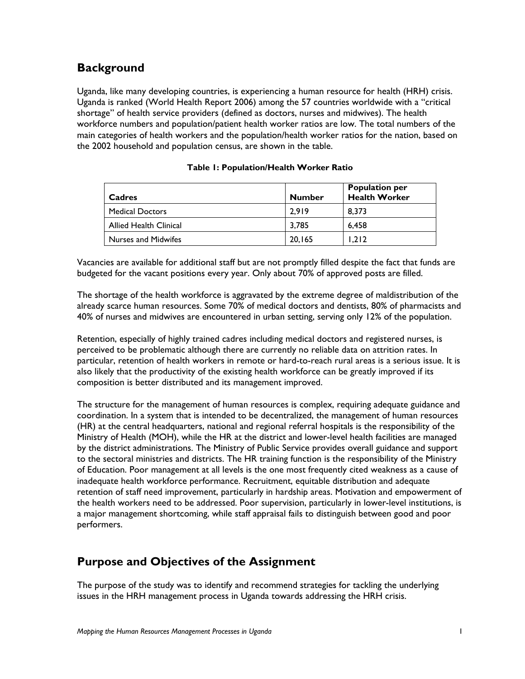## **Background**

Uganda, like many developing countries, is experiencing a human resource for health (HRH) crisis. Uganda is ranked (World Health Report 2006) among the 57 countries worldwide with a "critical shortage" of health service providers (defined as doctors, nurses and midwives). The health workforce numbers and population/patient health worker ratios are low. The total numbers of the main categories of health workers and the population/health worker ratios for the nation, based on the 2002 household and population census, are shown in the table.

| Cadres                 | <b>Number</b> | <b>Population per</b><br><b>Health Worker</b> |
|------------------------|---------------|-----------------------------------------------|
| <b>Medical Doctors</b> | 2.919         | 8.373                                         |
| Allied Health Clinical | 3.785         | 6.458                                         |
| Nurses and Midwifes    | 20,165        | 1.212                                         |

#### **Table 1: Population/Health Worker Ratio**

Vacancies are available for additional staff but are not promptly filled despite the fact that funds are budgeted for the vacant positions every year. Only about 70% of approved posts are filled.

The shortage of the health workforce is aggravated by the extreme degree of maldistribution of the already scarce human resources. Some 70% of medical doctors and dentists, 80% of pharmacists and 40% of nurses and midwives are encountered in urban setting, serving only 12% of the population.

Retention, especially of highly trained cadres including medical doctors and registered nurses, is perceived to be problematic although there are currently no reliable data on attrition rates. In particular, retention of health workers in remote or hard-to-reach rural areas is a serious issue. It is also likely that the productivity of the existing health workforce can be greatly improved if its composition is better distributed and its management improved.

The structure for the management of human resources is complex, requiring adequate guidance and coordination. In a system that is intended to be decentralized, the management of human resources (HR) at the central headquarters, national and regional referral hospitals is the responsibility of the Ministry of Health (MOH), while the HR at the district and lower-level health facilities are managed by the district administrations. The Ministry of Public Service provides overall guidance and support to the sectoral ministries and districts. The HR training function is the responsibility of the Ministry of Education. Poor management at all levels is the one most frequently cited weakness as a cause of inadequate health workforce performance. Recruitment, equitable distribution and adequate retention of staff need improvement, particularly in hardship areas. Motivation and empowerment of the health workers need to be addressed. Poor supervision, particularly in lower-level institutions, is a major management shortcoming, while staff appraisal fails to distinguish between good and poor performers.

### **Purpose and Objectives of the Assignment**

The purpose of the study was to identify and recommend strategies for tackling the underlying issues in the HRH management process in Uganda towards addressing the HRH crisis.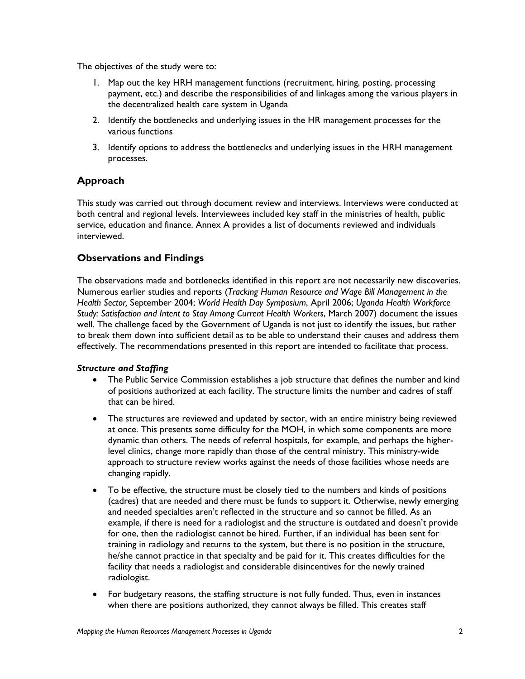The objectives of the study were to:

- 1. Map out the key HRH management functions (recruitment, hiring, posting, processing payment, etc.) and describe the responsibilities of and linkages among the various players in the decentralized health care system in Uganda
- 2. Identify the bottlenecks and underlying issues in the HR management processes for the various functions
- 3. Identify options to address the bottlenecks and underlying issues in the HRH management processes.

#### **Approach**

This study was carried out through document review and interviews. Interviews were conducted at both central and regional levels. Interviewees included key staff in the ministries of health, public service, education and finance. Annex A provides a list of documents reviewed and individuals interviewed.

#### **Observations and Findings**

The observations made and bottlenecks identified in this report are not necessarily new discoveries. Numerous earlier studies and reports (*Tracking Human Resource and Wage Bill Management in the Health Sector,* September 2004; *World Health Day Symposium*, April 2006; *Uganda Health Workforce Study: Satisfaction and Intent to Stay Among Current Health Workers*, March 2007) document the issues well. The challenge faced by the Government of Uganda is not just to identify the issues, but rather to break them down into sufficient detail as to be able to understand their causes and address them effectively. The recommendations presented in this report are intended to facilitate that process.

#### *Structure and Staffing*

- The Public Service Commission establishes a job structure that defines the number and kind of positions authorized at each facility. The structure limits the number and cadres of staff that can be hired.
- The structures are reviewed and updated by sector, with an entire ministry being reviewed at once. This presents some difficulty for the MOH, in which some components are more dynamic than others. The needs of referral hospitals, for example, and perhaps the higherlevel clinics, change more rapidly than those of the central ministry. This ministry-wide approach to structure review works against the needs of those facilities whose needs are changing rapidly.
- To be effective, the structure must be closely tied to the numbers and kinds of positions (cadres) that are needed and there must be funds to support it. Otherwise, newly emerging and needed specialties aren't reflected in the structure and so cannot be filled. As an example, if there is need for a radiologist and the structure is outdated and doesn't provide for one, then the radiologist cannot be hired. Further, if an individual has been sent for training in radiology and returns to the system, but there is no position in the structure, he/she cannot practice in that specialty and be paid for it. This creates difficulties for the facility that needs a radiologist and considerable disincentives for the newly trained radiologist.
- For budgetary reasons, the staffing structure is not fully funded. Thus, even in instances when there are positions authorized, they cannot always be filled. This creates staff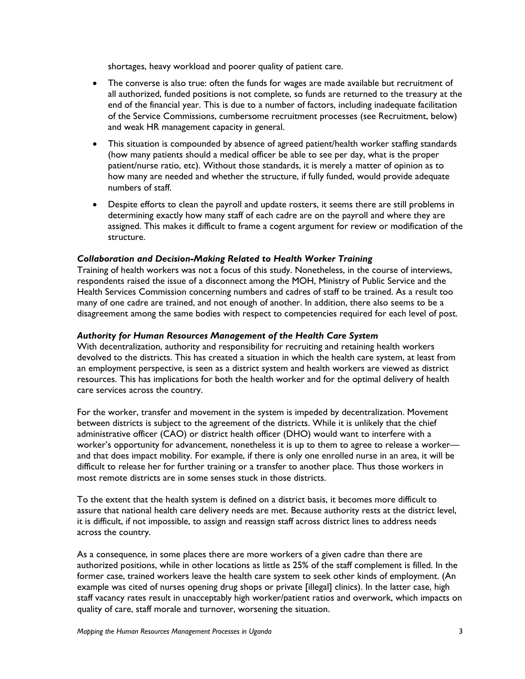shortages, heavy workload and poorer quality of patient care.

- The converse is also true: often the funds for wages are made available but recruitment of all authorized, funded positions is not complete, so funds are returned to the treasury at the end of the financial year. This is due to a number of factors, including inadequate facilitation of the Service Commissions, cumbersome recruitment processes (see Recruitment, below) and weak HR management capacity in general.
- This situation is compounded by absence of agreed patient/health worker staffing standards (how many patients should a medical officer be able to see per day, what is the proper patient/nurse ratio, etc). Without those standards, it is merely a matter of opinion as to how many are needed and whether the structure, if fully funded, would provide adequate numbers of staff.
- Despite efforts to clean the payroll and update rosters, it seems there are still problems in determining exactly how many staff of each cadre are on the payroll and where they are assigned. This makes it difficult to frame a cogent argument for review or modification of the structure.

#### *Collaboration and Decision-Making Related to Health Worker Training*

Training of health workers was not a focus of this study. Nonetheless, in the course of interviews, respondents raised the issue of a disconnect among the MOH, Ministry of Public Service and the Health Services Commission concerning numbers and cadres of staff to be trained. As a result too many of one cadre are trained, and not enough of another. In addition, there also seems to be a disagreement among the same bodies with respect to competencies required for each level of post.

#### *Authority for Human Resources Management of the Health Care System*

With decentralization, authority and responsibility for recruiting and retaining health workers devolved to the districts. This has created a situation in which the health care system, at least from an employment perspective, is seen as a district system and health workers are viewed as district resources. This has implications for both the health worker and for the optimal delivery of health care services across the country.

For the worker, transfer and movement in the system is impeded by decentralization. Movement between districts is subject to the agreement of the districts. While it is unlikely that the chief administrative officer (CAO) or district health officer (DHO) would want to interfere with a worker's opportunity for advancement, nonetheless it is up to them to agree to release a worker and that does impact mobility. For example, if there is only one enrolled nurse in an area, it will be difficult to release her for further training or a transfer to another place. Thus those workers in most remote districts are in some senses stuck in those districts.

To the extent that the health system is defined on a district basis, it becomes more difficult to assure that national health care delivery needs are met. Because authority rests at the district level, it is difficult, if not impossible, to assign and reassign staff across district lines to address needs across the country.

As a consequence, in some places there are more workers of a given cadre than there are authorized positions, while in other locations as little as 25% of the staff complement is filled. In the former case, trained workers leave the health care system to seek other kinds of employment. (An example was cited of nurses opening drug shops or private [illegal] clinics). In the latter case, high staff vacancy rates result in unacceptably high worker/patient ratios and overwork, which impacts on quality of care, staff morale and turnover, worsening the situation.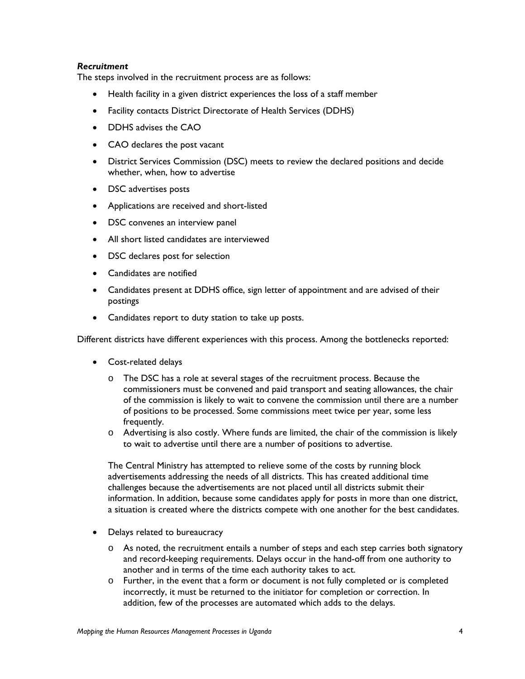#### *Recruitment*

The steps involved in the recruitment process are as follows:

- Health facility in a given district experiences the loss of a staff member
- Facility contacts District Directorate of Health Services (DDHS)
- DDHS advises the CAO
- CAO declares the post vacant
- District Services Commission (DSC) meets to review the declared positions and decide whether, when, how to advertise
- DSC advertises posts
- Applications are received and short-listed
- DSC convenes an interview panel
- All short listed candidates are interviewed
- DSC declares post for selection
- Candidates are notified
- Candidates present at DDHS office, sign letter of appointment and are advised of their postings
- Candidates report to duty station to take up posts.

Different districts have different experiences with this process. Among the bottlenecks reported:

- Cost-related delays
	- o The DSC has a role at several stages of the recruitment process. Because the commissioners must be convened and paid transport and seating allowances, the chair of the commission is likely to wait to convene the commission until there are a number of positions to be processed. Some commissions meet twice per year, some less frequently.
	- o Advertising is also costly. Where funds are limited, the chair of the commission is likely to wait to advertise until there are a number of positions to advertise.

The Central Ministry has attempted to relieve some of the costs by running block advertisements addressing the needs of all districts. This has created additional time challenges because the advertisements are not placed until all districts submit their information. In addition, because some candidates apply for posts in more than one district, a situation is created where the districts compete with one another for the best candidates.

- Delays related to bureaucracy
	- o As noted, the recruitment entails a number of steps and each step carries both signatory and record-keeping requirements. Delays occur in the hand-off from one authority to another and in terms of the time each authority takes to act.
	- o Further, in the event that a form or document is not fully completed or is completed incorrectly, it must be returned to the initiator for completion or correction. In addition, few of the processes are automated which adds to the delays.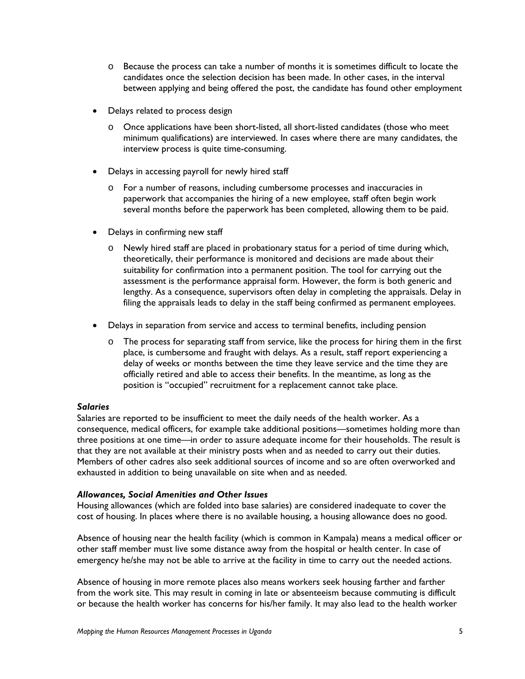- o Because the process can take a number of months it is sometimes difficult to locate the candidates once the selection decision has been made. In other cases, in the interval between applying and being offered the post, the candidate has found other employment
- Delays related to process design
	- o Once applications have been short-listed, all short-listed candidates (those who meet minimum qualifications) are interviewed. In cases where there are many candidates, the interview process is quite time-consuming.
- Delays in accessing payroll for newly hired staff
	- o For a number of reasons, including cumbersome processes and inaccuracies in paperwork that accompanies the hiring of a new employee, staff often begin work several months before the paperwork has been completed, allowing them to be paid.
- Delays in confirming new staff
	- o Newly hired staff are placed in probationary status for a period of time during which, theoretically, their performance is monitored and decisions are made about their suitability for confirmation into a permanent position. The tool for carrying out the assessment is the performance appraisal form. However, the form is both generic and lengthy. As a consequence, supervisors often delay in completing the appraisals. Delay in filing the appraisals leads to delay in the staff being confirmed as permanent employees.
- Delays in separation from service and access to terminal benefits, including pension
	- o The process for separating staff from service, like the process for hiring them in the first place, is cumbersome and fraught with delays. As a result, staff report experiencing a delay of weeks or months between the time they leave service and the time they are officially retired and able to access their benefits. In the meantime, as long as the position is "occupied" recruitment for a replacement cannot take place.

#### *Salaries*

Salaries are reported to be insufficient to meet the daily needs of the health worker. As a consequence, medical officers, for example take additional positions—sometimes holding more than three positions at one time—in order to assure adequate income for their households. The result is that they are not available at their ministry posts when and as needed to carry out their duties. Members of other cadres also seek additional sources of income and so are often overworked and exhausted in addition to being unavailable on site when and as needed.

#### *Allowances, Social Amenities and Other Issues*

Housing allowances (which are folded into base salaries) are considered inadequate to cover the cost of housing. In places where there is no available housing, a housing allowance does no good.

Absence of housing near the health facility (which is common in Kampala) means a medical officer or other staff member must live some distance away from the hospital or health center. In case of emergency he/she may not be able to arrive at the facility in time to carry out the needed actions.

Absence of housing in more remote places also means workers seek housing farther and farther from the work site. This may result in coming in late or absenteeism because commuting is difficult or because the health worker has concerns for his/her family. It may also lead to the health worker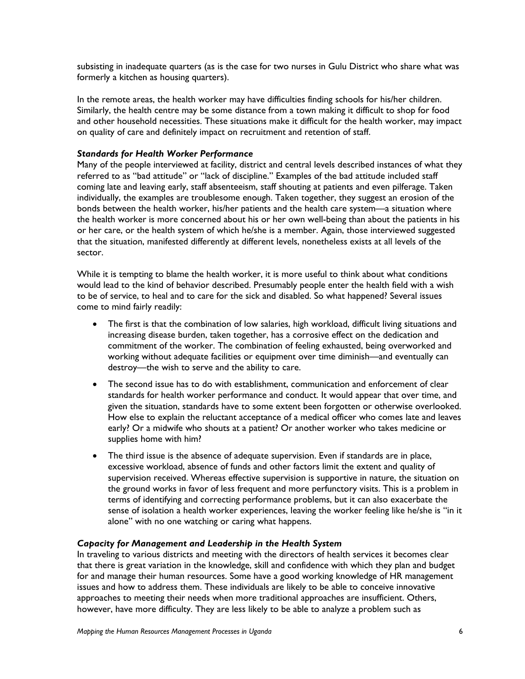subsisting in inadequate quarters (as is the case for two nurses in Gulu District who share what was formerly a kitchen as housing quarters).

In the remote areas, the health worker may have difficulties finding schools for his/her children. Similarly, the health centre may be some distance from a town making it difficult to shop for food and other household necessities. These situations make it difficult for the health worker, may impact on quality of care and definitely impact on recruitment and retention of staff.

#### *Standards for Health Worker Performance*

Many of the people interviewed at facility, district and central levels described instances of what they referred to as "bad attitude" or "lack of discipline." Examples of the bad attitude included staff coming late and leaving early, staff absenteeism, staff shouting at patients and even pilferage. Taken individually, the examples are troublesome enough. Taken together, they suggest an erosion of the bonds between the health worker, his/her patients and the health care system—a situation where the health worker is more concerned about his or her own well-being than about the patients in his or her care, or the health system of which he/she is a member. Again, those interviewed suggested that the situation, manifested differently at different levels, nonetheless exists at all levels of the sector.

While it is tempting to blame the health worker, it is more useful to think about what conditions would lead to the kind of behavior described. Presumably people enter the health field with a wish to be of service, to heal and to care for the sick and disabled. So what happened? Several issues come to mind fairly readily:

- The first is that the combination of low salaries, high workload, difficult living situations and increasing disease burden, taken together, has a corrosive effect on the dedication and commitment of the worker. The combination of feeling exhausted, being overworked and working without adequate facilities or equipment over time diminish—and eventually can destroy—the wish to serve and the ability to care.
- The second issue has to do with establishment, communication and enforcement of clear standards for health worker performance and conduct. It would appear that over time, and given the situation, standards have to some extent been forgotten or otherwise overlooked. How else to explain the reluctant acceptance of a medical officer who comes late and leaves early? Or a midwife who shouts at a patient? Or another worker who takes medicine or supplies home with him?
- The third issue is the absence of adequate supervision. Even if standards are in place, excessive workload, absence of funds and other factors limit the extent and quality of supervision received. Whereas effective supervision is supportive in nature, the situation on the ground works in favor of less frequent and more perfunctory visits. This is a problem in terms of identifying and correcting performance problems, but it can also exacerbate the sense of isolation a health worker experiences, leaving the worker feeling like he/she is "in it alone" with no one watching or caring what happens.

#### *Capacity for Management and Leadership in the Health System*

In traveling to various districts and meeting with the directors of health services it becomes clear that there is great variation in the knowledge, skill and confidence with which they plan and budget for and manage their human resources. Some have a good working knowledge of HR management issues and how to address them. These individuals are likely to be able to conceive innovative approaches to meeting their needs when more traditional approaches are insufficient. Others, however, have more difficulty. They are less likely to be able to analyze a problem such as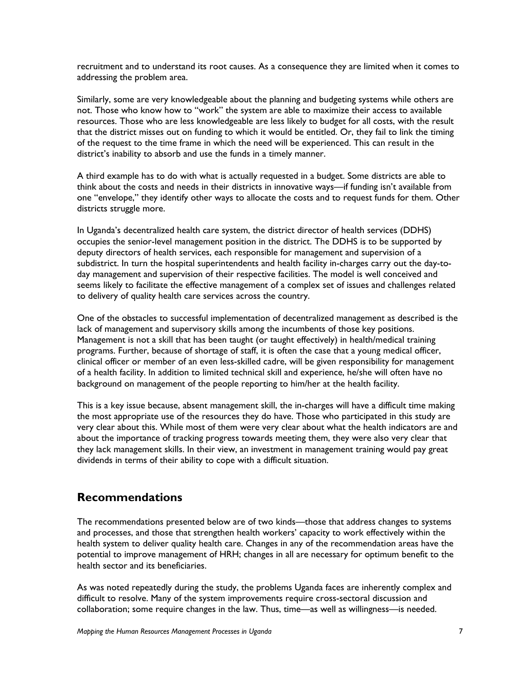recruitment and to understand its root causes. As a consequence they are limited when it comes to addressing the problem area.

Similarly, some are very knowledgeable about the planning and budgeting systems while others are not. Those who know how to "work" the system are able to maximize their access to available resources. Those who are less knowledgeable are less likely to budget for all costs, with the result that the district misses out on funding to which it would be entitled. Or, they fail to link the timing of the request to the time frame in which the need will be experienced. This can result in the district's inability to absorb and use the funds in a timely manner.

A third example has to do with what is actually requested in a budget. Some districts are able to think about the costs and needs in their districts in innovative ways—if funding isn't available from one "envelope," they identify other ways to allocate the costs and to request funds for them. Other districts struggle more.

In Uganda's decentralized health care system, the district director of health services (DDHS) occupies the senior-level management position in the district. The DDHS is to be supported by deputy directors of health services, each responsible for management and supervision of a subdistrict. In turn the hospital superintendents and health facility in-charges carry out the day-today management and supervision of their respective facilities. The model is well conceived and seems likely to facilitate the effective management of a complex set of issues and challenges related to delivery of quality health care services across the country.

One of the obstacles to successful implementation of decentralized management as described is the lack of management and supervisory skills among the incumbents of those key positions. Management is not a skill that has been taught (or taught effectively) in health/medical training programs. Further, because of shortage of staff, it is often the case that a young medical officer, clinical officer or member of an even less-skilled cadre, will be given responsibility for management of a health facility. In addition to limited technical skill and experience, he/she will often have no background on management of the people reporting to him/her at the health facility.

This is a key issue because, absent management skill, the in-charges will have a difficult time making the most appropriate use of the resources they do have. Those who participated in this study are very clear about this. While most of them were very clear about what the health indicators are and about the importance of tracking progress towards meeting them, they were also very clear that they lack management skills. In their view, an investment in management training would pay great dividends in terms of their ability to cope with a difficult situation.

### **Recommendations**

The recommendations presented below are of two kinds—those that address changes to systems and processes, and those that strengthen health workers' capacity to work effectively within the health system to deliver quality health care. Changes in any of the recommendation areas have the potential to improve management of HRH; changes in all are necessary for optimum benefit to the health sector and its beneficiaries.

As was noted repeatedly during the study, the problems Uganda faces are inherently complex and difficult to resolve. Many of the system improvements require cross-sectoral discussion and collaboration; some require changes in the law. Thus, time—as well as willingness—is needed.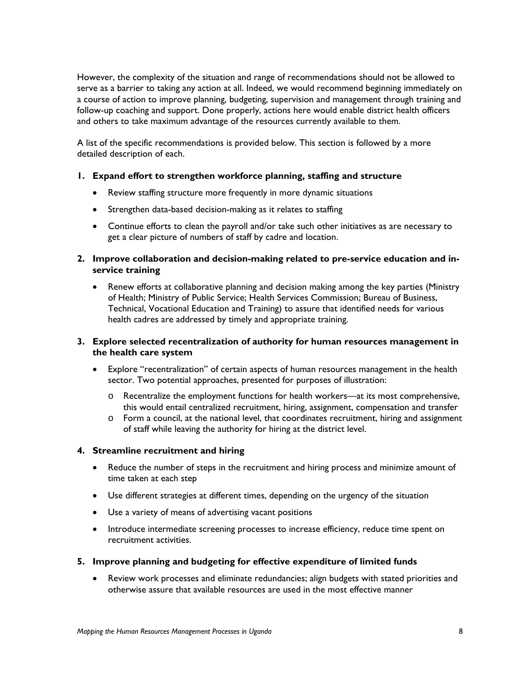However, the complexity of the situation and range of recommendations should not be allowed to serve as a barrier to taking any action at all. Indeed, we would recommend beginning immediately on a course of action to improve planning, budgeting, supervision and management through training and follow-up coaching and support. Done properly, actions here would enable district health officers and others to take maximum advantage of the resources currently available to them.

A list of the specific recommendations is provided below. This section is followed by a more detailed description of each.

#### **1. Expand effort to strengthen workforce planning, staffing and structure**

- Review staffing structure more frequently in more dynamic situations
- Strengthen data-based decision-making as it relates to staffing
- Continue efforts to clean the payroll and/or take such other initiatives as are necessary to get a clear picture of numbers of staff by cadre and location.
- **2. Improve collaboration and decision-making related to pre-service education and inservice training** 
	- Renew efforts at collaborative planning and decision making among the key parties (Ministry of Health; Ministry of Public Service; Health Services Commission; Bureau of Business, Technical, Vocational Education and Training) to assure that identified needs for various health cadres are addressed by timely and appropriate training.

#### **3. Explore selected recentralization of authority for human resources management in the health care system**

- Explore "recentralization" of certain aspects of human resources management in the health sector. Two potential approaches, presented for purposes of illustration:
	- o Recentralize the employment functions for health workers—at its most comprehensive, this would entail centralized recruitment, hiring, assignment, compensation and transfer
	- $\circ$  Form a council, at the national level, that coordinates recruitment, hiring and assignment of staff while leaving the authority for hiring at the district level.

#### **4. Streamline recruitment and hiring**

- Reduce the number of steps in the recruitment and hiring process and minimize amount of time taken at each step
- Use different strategies at different times, depending on the urgency of the situation
- Use a variety of means of advertising vacant positions
- Introduce intermediate screening processes to increase efficiency, reduce time spent on recruitment activities.
- **5. Improve planning and budgeting for effective expenditure of limited funds**
	- Review work processes and eliminate redundancies; align budgets with stated priorities and otherwise assure that available resources are used in the most effective manner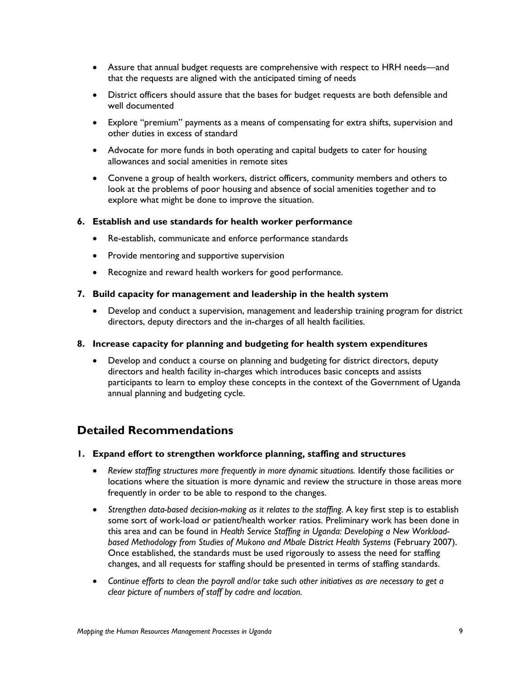- Assure that annual budget requests are comprehensive with respect to HRH needs—and that the requests are aligned with the anticipated timing of needs
- District officers should assure that the bases for budget requests are both defensible and well documented
- Explore "premium" payments as a means of compensating for extra shifts, supervision and other duties in excess of standard
- Advocate for more funds in both operating and capital budgets to cater for housing allowances and social amenities in remote sites
- Convene a group of health workers, district officers, community members and others to look at the problems of poor housing and absence of social amenities together and to explore what might be done to improve the situation.

#### **6. Establish and use standards for health worker performance**

- Re-establish, communicate and enforce performance standards
- Provide mentoring and supportive supervision
- Recognize and reward health workers for good performance.

#### **7. Build capacity for management and leadership in the health system**

• Develop and conduct a supervision, management and leadership training program for district directors, deputy directors and the in-charges of all health facilities.

#### **8. Increase capacity for planning and budgeting for health system expenditures**

• Develop and conduct a course on planning and budgeting for district directors, deputy directors and health facility in-charges which introduces basic concepts and assists participants to learn to employ these concepts in the context of the Government of Uganda annual planning and budgeting cycle.

### **Detailed Recommendations**

- **1. Expand effort to strengthen workforce planning, staffing and structures** 
	- *Review staffing structures more frequently in more dynamic situations.* Identify those facilities or locations where the situation is more dynamic and review the structure in those areas more frequently in order to be able to respond to the changes.
	- *Strengthen data-based decision-making as it relates to the staffing.* A key first step is to establish some sort of work-load or patient/health worker ratios. Preliminary work has been done in this area and can be found in *Health Service Staffing in Uganda: Developing a New Workload*based Methodology from Studies of Mukono and Mbale District Health Systems (February 2007). Once established, the standards must be used rigorously to assess the need for staffing changes, and all requests for staffing should be presented in terms of staffing standards.
	- *Continue efforts to clean the payroll and/or take such other initiatives as are necessary to get a clear picture of numbers of staff by cadre and location.*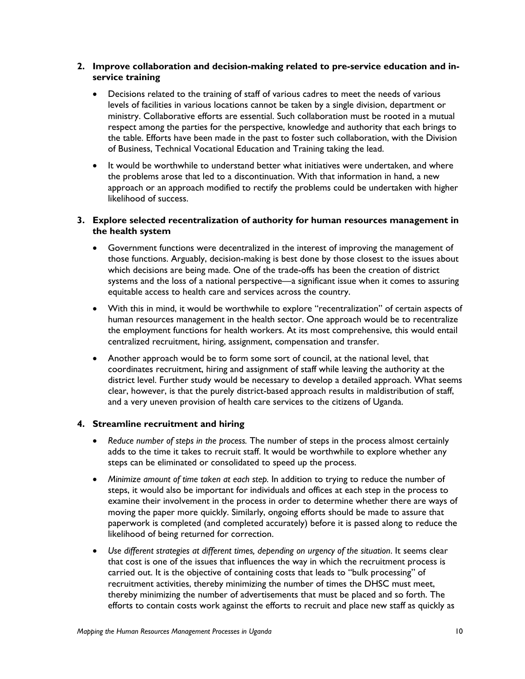#### **2. Improve collaboration and decision-making related to pre-service education and inservice training**

- Decisions related to the training of staff of various cadres to meet the needs of various levels of facilities in various locations cannot be taken by a single division, department or ministry. Collaborative efforts are essential. Such collaboration must be rooted in a mutual respect among the parties for the perspective, knowledge and authority that each brings to the table. Efforts have been made in the past to foster such collaboration, with the Division of Business, Technical Vocational Education and Training taking the lead.
- It would be worthwhile to understand better what initiatives were undertaken, and where the problems arose that led to a discontinuation. With that information in hand, a new approach or an approach modified to rectify the problems could be undertaken with higher likelihood of success.

#### **3. Explore selected recentralization of authority for human resources management in the health system**

- Government functions were decentralized in the interest of improving the management of those functions. Arguably, decision-making is best done by those closest to the issues about which decisions are being made. One of the trade-offs has been the creation of district systems and the loss of a national perspective—a significant issue when it comes to assuring equitable access to health care and services across the country.
- With this in mind, it would be worthwhile to explore "recentralization" of certain aspects of human resources management in the health sector. One approach would be to recentralize the employment functions for health workers. At its most comprehensive, this would entail centralized recruitment, hiring, assignment, compensation and transfer.
- Another approach would be to form some sort of council, at the national level, that coordinates recruitment, hiring and assignment of staff while leaving the authority at the district level. Further study would be necessary to develop a detailed approach. What seems clear, however, is that the purely district-based approach results in maldistribution of staff, and a very uneven provision of health care services to the citizens of Uganda.

#### **4. Streamline recruitment and hiring**

- *Reduce number of steps in the process.* The number of steps in the process almost certainly adds to the time it takes to recruit staff. It would be worthwhile to explore whether any steps can be eliminated or consolidated to speed up the process.
- *Minimize amount of time taken at each step.* In addition to trying to reduce the number of steps, it would also be important for individuals and offices at each step in the process to examine their involvement in the process in order to determine whether there are ways of moving the paper more quickly. Similarly, ongoing efforts should be made to assure that paperwork is completed (and completed accurately) before it is passed along to reduce the likelihood of being returned for correction.
- *Use different strategies at different times, depending on urgency of the situation*. It seems clear that cost is one of the issues that influences the way in which the recruitment process is carried out. It is the objective of containing costs that leads to "bulk processing" of recruitment activities, thereby minimizing the number of times the DHSC must meet, thereby minimizing the number of advertisements that must be placed and so forth. The efforts to contain costs work against the efforts to recruit and place new staff as quickly as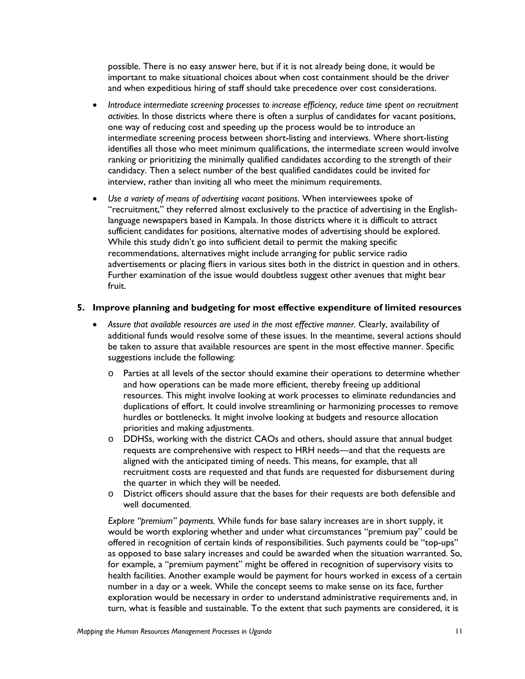possible. There is no easy answer here, but if it is not already being done, it would be important to make situational choices about when cost containment should be the driver and when expeditious hiring of staff should take precedence over cost considerations.

- *Introduce intermediate screening processes to increase efficiency, reduce time spent on recruitment activities.* In those districts where there is often a surplus of candidates for vacant positions, one way of reducing cost and speeding up the process would be to introduce an intermediate screening process between short-listing and interviews. Where short-listing identifies all those who meet minimum qualifications, the intermediate screen would involve ranking or prioritizing the minimally qualified candidates according to the strength of their candidacy. Then a select number of the best qualified candidates could be invited for interview, rather than inviting all who meet the minimum requirements.
- *Use a variety of means of advertising vacant positions*. When interviewees spoke of "recruitment," they referred almost exclusively to the practice of advertising in the Englishlanguage newspapers based in Kampala. In those districts where it is difficult to attract sufficient candidates for positions, alternative modes of advertising should be explored. While this study didn't go into sufficient detail to permit the making specific recommendations, alternatives might include arranging for public service radio advertisements or placing fliers in various sites both in the district in question and in others. Further examination of the issue would doubtless suggest other avenues that might bear fruit.

#### **5. Improve planning and budgeting for most effective expenditure of limited resources**

- Assure that available resources are used in the most effective manner. Clearly, availability of additional funds would resolve some of these issues. In the meantime, several actions should be taken to assure that available resources are spent in the most effective manner. Specific suggestions include the following:
	- o Parties at all levels of the sector should examine their operations to determine whether and how operations can be made more efficient, thereby freeing up additional resources. This might involve looking at work processes to eliminate redundancies and duplications of effort. It could involve streamlining or harmonizing processes to remove hurdles or bottlenecks. It might involve looking at budgets and resource allocation priorities and making adjustments.
	- o DDHSs, working with the district CAOs and others, should assure that annual budget requests are comprehensive with respect to HRH needs—and that the requests are aligned with the anticipated timing of needs. This means, for example, that all recruitment costs are requested and that funds are requested for disbursement during the quarter in which they will be needed.
	- o District officers should assure that the bases for their requests are both defensible and well documented.

*Explore "premium" payments.* While funds for base salary increases are in short supply, it would be worth exploring whether and under what circumstances "premium pay" could be offered in recognition of certain kinds of responsibilities. Such payments could be "top-ups" as opposed to base salary increases and could be awarded when the situation warranted. So, for example, a "premium payment" might be offered in recognition of supervisory visits to health facilities. Another example would be payment for hours worked in excess of a certain number in a day or a week. While the concept seems to make sense on its face, further exploration would be necessary in order to understand administrative requirements and, in turn, what is feasible and sustainable. To the extent that such payments are considered, it is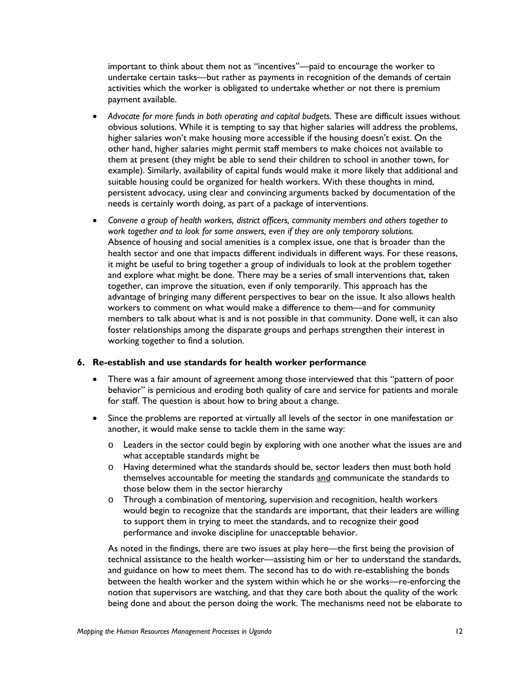important to think about them not as "incentives"—paid to encourage the worker to undertake certain tasks—but rather as payments in recognition of the demands of certain activities which the worker is obligated to undertake whether or not there is premium payment available.

- Advocate for more funds in both operating and capital budgets. These are difficult issues without obvious solutions. While it is tempting to say that higher salaries will address the problems, higher salaries won't make housing more accessible if the housing doesn't exist. On the other hand, higher salaries might permit staff members to make choices not available to them at present (they might be able to send their children to school in another town, for example). Similarly, availability of capital funds would make it more likely that additional and suitable housing could be organized for health workers. With these thoughts in mind, persistent advocacy, using clear and convincing arguments backed by documentation of the needs is certainly worth doing, as part of a package of interventions.
- *Convene a group of health workers, district officers, community members and others together to work together and to look for some answers, even if they are only temporary solutions.*  Absence of housing and social amenities is a complex issue, one that is broader than the health sector and one that impacts different individuals in different ways. For these reasons, it might be useful to bring together a group of individuals to look at the problem together and explore what might be done. There may be a series of small interventions that, taken together, can improve the situation, even if only temporarily. This approach has the advantage of bringing many different perspectives to bear on the issue. It also allows health workers to comment on what would make a difference to them—and for community members to talk about what is and is not possible in that community. Done well, it can also foster relationships among the disparate groups and perhaps strengthen their interest in working together to find a solution.

#### **6. Re-establish and use standards for health worker performance**

- There was a fair amount of agreement among those interviewed that this "pattern of poor behavior" is pernicious and eroding both quality of care and service for patients and morale for staff. The question is about how to bring about a change.
- Since the problems are reported at virtually all levels of the sector in one manifestation or another, it would make sense to tackle them in the same way:
	- o Leaders in the sector could begin by exploring with one another what the issues are and what acceptable standards might be
	- o Having determined what the standards should be, sector leaders then must both hold themselves accountable for meeting the standards and communicate the standards to those below them in the sector hierarchy
	- o Through a combination of mentoring, supervision and recognition, health workers would begin to recognize that the standards are important, that their leaders are willing to support them in trying to meet the standards, and to recognize their good performance and invoke discipline for unacceptable behavior.

As noted in the findings, there are two issues at play here—the first being the provision of technical assistance to the health worker—assisting him or her to understand the standards, and guidance on how to meet them. The second has to do with re-establishing the bonds between the health worker and the system within which he or she works—re-enforcing the notion that supervisors are watching, and that they care both about the quality of the work being done and about the person doing the work. The mechanisms need not be elaborate to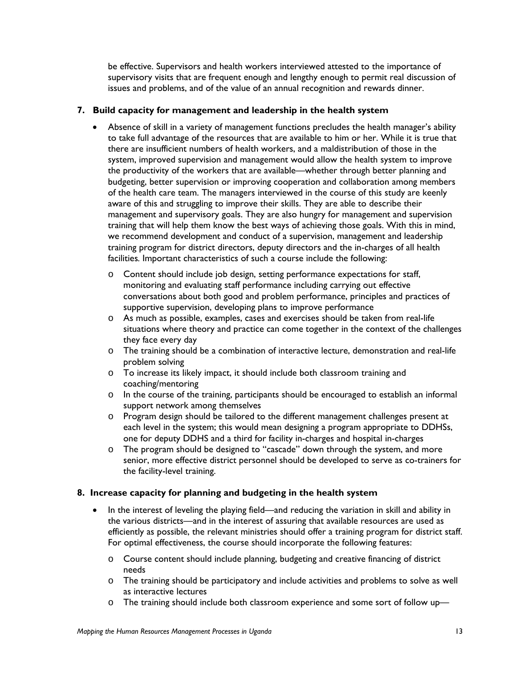be effective. Supervisors and health workers interviewed attested to the importance of supervisory visits that are frequent enough and lengthy enough to permit real discussion of issues and problems, and of the value of an annual recognition and rewards dinner.

#### **7. Build capacity for management and leadership in the health system**

- Absence of skill in a variety of management functions precludes the health manager's ability to take full advantage of the resources that are available to him or her. While it is true that there are insufficient numbers of health workers, and a maldistribution of those in the system, improved supervision and management would allow the health system to improve the productivity of the workers that are available—whether through better planning and budgeting, better supervision or improving cooperation and collaboration among members of the health care team. The managers interviewed in the course of this study are keenly aware of this and struggling to improve their skills. They are able to describe their management and supervisory goals. They are also hungry for management and supervision training that will help them know the best ways of achieving those goals. With this in mind, we recommend development and conduct of a supervision, management and leadership training program for district directors, deputy directors and the in-charges of all health facilities*.* Important characteristics of such a course include the following:
	- o Content should include job design, setting performance expectations for staff, monitoring and evaluating staff performance including carrying out effective conversations about both good and problem performance, principles and practices of supportive supervision, developing plans to improve performance
	- $\circ$  As much as possible, examples, cases and exercises should be taken from real-life situations where theory and practice can come together in the context of the challenges they face every day
	- o The training should be a combination of interactive lecture, demonstration and real-life problem solving
	- o To increase its likely impact, it should include both classroom training and coaching/mentoring
	- o In the course of the training, participants should be encouraged to establish an informal support network among themselves
	- o Program design should be tailored to the different management challenges present at each level in the system; this would mean designing a program appropriate to DDHSs, one for deputy DDHS and a third for facility in-charges and hospital in-charges
	- o The program should be designed to "cascade" down through the system, and more senior, more effective district personnel should be developed to serve as co-trainers for the facility-level training.

#### **8. Increase capacity for planning and budgeting in the health system**

- In the interest of leveling the playing field—and reducing the variation in skill and ability in the various districts—and in the interest of assuring that available resources are used as efficiently as possible, the relevant ministries should offer a training program for district staff. For optimal effectiveness, the course should incorporate the following features:
	- o Course content should include planning, budgeting and creative financing of district needs
	- o The training should be participatory and include activities and problems to solve as well as interactive lectures
	- o The training should include both classroom experience and some sort of follow up—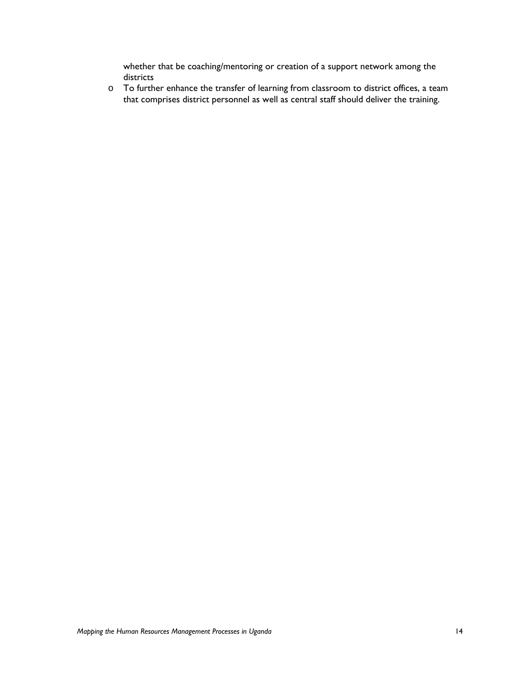whether that be coaching/mentoring or creation of a support network among the districts

o To further enhance the transfer of learning from classroom to district offices, a team that comprises district personnel as well as central staff should deliver the training.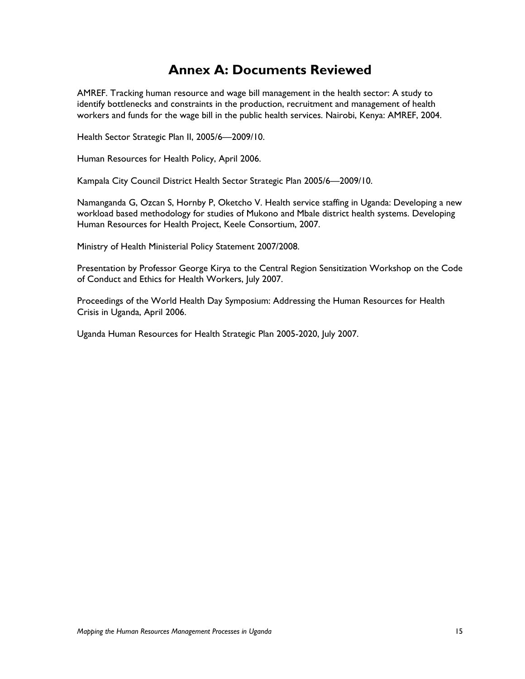## **Annex A: Documents Reviewed**

AMREF. Tracking human resource and wage bill management in the health sector: A study to identify bottlenecks and constraints in the production, recruitment and management of health workers and funds for the wage bill in the public health services. Nairobi, Kenya: AMREF, 2004.

Health Sector Strategic Plan II, 2005/6—2009/10.

Human Resources for Health Policy, April 2006.

Kampala City Council District Health Sector Strategic Plan 2005/6—2009/10.

Namanganda G, Ozcan S, Hornby P, Oketcho V. Health service staffing in Uganda: Developing a new workload based methodology for studies of Mukono and Mbale district health systems. Developing Human Resources for Health Project, Keele Consortium, 2007.

Ministry of Health Ministerial Policy Statement 2007/2008.

Presentation by Professor George Kirya to the Central Region Sensitization Workshop on the Code of Conduct and Ethics for Health Workers, July 2007.

Proceedings of the World Health Day Symposium: Addressing the Human Resources for Health Crisis in Uganda, April 2006.

Uganda Human Resources for Health Strategic Plan 2005-2020, July 2007.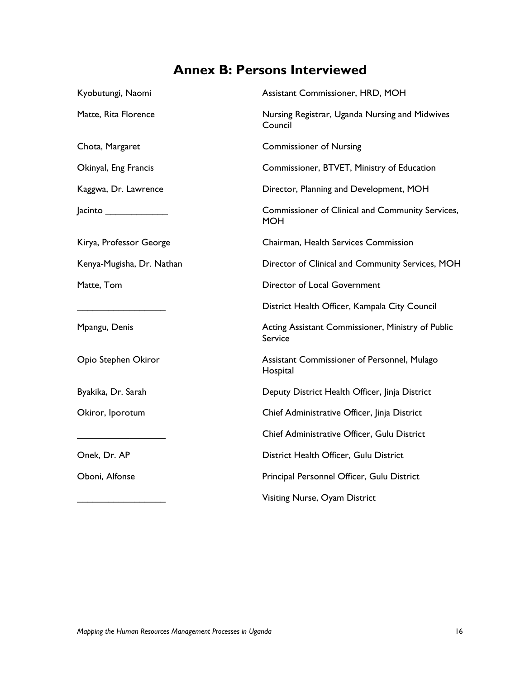## **Annex B: Persons Interviewed**

| Kyobutungi, Naomi         | Assistant Commissioner, HRD, MOH                               |
|---------------------------|----------------------------------------------------------------|
| Matte, Rita Florence      | Nursing Registrar, Uganda Nursing and Midwives<br>Council      |
| Chota, Margaret           | <b>Commissioner of Nursing</b>                                 |
| Okinyal, Eng Francis      | Commissioner, BTVET, Ministry of Education                     |
| Kaggwa, Dr. Lawrence      | Director, Planning and Development, MOH                        |
|                           | Commissioner of Clinical and Community Services,<br><b>MOH</b> |
| Kirya, Professor George   | Chairman, Health Services Commission                           |
| Kenya-Mugisha, Dr. Nathan | Director of Clinical and Community Services, MOH               |
| Matte, Tom                | Director of Local Government                                   |
|                           | District Health Officer, Kampala City Council                  |
| Mpangu, Denis             | Acting Assistant Commissioner, Ministry of Public<br>Service   |
| Opio Stephen Okiror       | Assistant Commissioner of Personnel, Mulago<br>Hospital        |
| Byakika, Dr. Sarah        | Deputy District Health Officer, Jinja District                 |
| Okiror, Iporotum          | Chief Administrative Officer, Jinja District                   |
|                           | Chief Administrative Officer, Gulu District                    |
| Onek, Dr. AP              | District Health Officer, Gulu District                         |
| Oboni, Alfonse            | Principal Personnel Officer, Gulu District                     |
|                           | Visiting Nurse, Oyam District                                  |